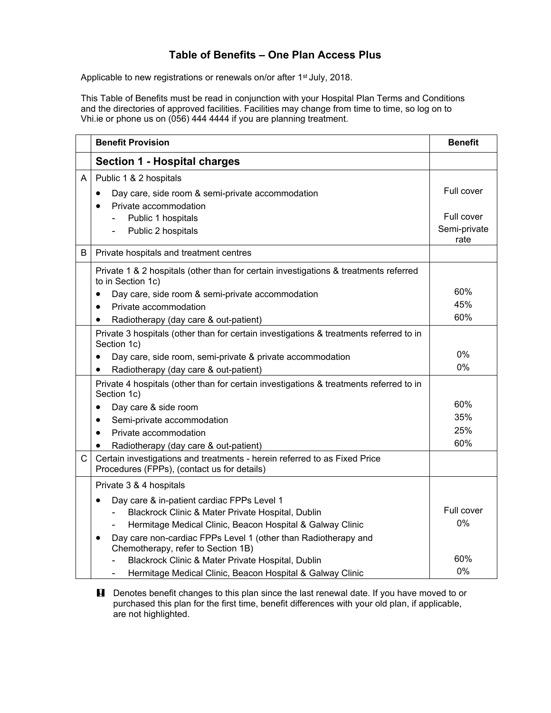## **Table of Benefits – One Plan Access Plus**

Applicable to new registrations or renewals on/or after 1<sup>st</sup> July, 2018.

This Table of Benefits must be read in conjunction with your Hospital Plan Terms and Conditions and the directories of approved facilities. Facilities may change from time to time, so log on to Vhi.ie or phone us on (056) 444 4444 if you are planning treatment.

|   | <b>Benefit Provision</b>                                                                                                                                                                                                                                                                                                                                                                                                                                                      | <b>Benefit</b>                                   |
|---|-------------------------------------------------------------------------------------------------------------------------------------------------------------------------------------------------------------------------------------------------------------------------------------------------------------------------------------------------------------------------------------------------------------------------------------------------------------------------------|--------------------------------------------------|
|   | <b>Section 1 - Hospital charges</b>                                                                                                                                                                                                                                                                                                                                                                                                                                           |                                                  |
| A | Public 1 & 2 hospitals<br>Day care, side room & semi-private accommodation<br>$\bullet$<br>Private accommodation<br>$\bullet$<br>Public 1 hospitals<br>Ξ.<br>Public 2 hospitals                                                                                                                                                                                                                                                                                               | Full cover<br>Full cover<br>Semi-private<br>rate |
| B | Private hospitals and treatment centres                                                                                                                                                                                                                                                                                                                                                                                                                                       |                                                  |
|   | Private 1 & 2 hospitals (other than for certain investigations & treatments referred<br>to in Section 1c)<br>Day care, side room & semi-private accommodation<br>Private accommodation<br>Radiotherapy (day care & out-patient)<br>$\bullet$                                                                                                                                                                                                                                  | 60%<br>45%<br>60%                                |
|   | Private 3 hospitals (other than for certain investigations & treatments referred to in<br>Section 1c)<br>Day care, side room, semi-private & private accommodation<br>٠<br>Radiotherapy (day care & out-patient)<br>$\bullet$                                                                                                                                                                                                                                                 | $0\%$<br>0%                                      |
| C | Private 4 hospitals (other than for certain investigations & treatments referred to in<br>Section 1c)<br>Day care & side room<br>$\bullet$<br>Semi-private accommodation<br>$\bullet$<br>Private accommodation<br>$\bullet$<br>Radiotherapy (day care & out-patient)<br>$\bullet$<br>Certain investigations and treatments - herein referred to as Fixed Price                                                                                                                | 60%<br>35%<br>25%<br>60%                         |
|   | Procedures (FPPs), (contact us for details)<br>Private 3 & 4 hospitals<br>Day care & in-patient cardiac FPPs Level 1<br>$\bullet$<br>Blackrock Clinic & Mater Private Hospital, Dublin<br>Hermitage Medical Clinic, Beacon Hospital & Galway Clinic<br>Day care non-cardiac FPPs Level 1 (other than Radiotherapy and<br>Chemotherapy, refer to Section 1B)<br>Blackrock Clinic & Mater Private Hospital, Dublin<br>Hermitage Medical Clinic, Beacon Hospital & Galway Clinic | Full cover<br>0%<br>60%<br>0%                    |

**H** Denotes benefit changes to this plan since the last renewal date. If you have moved to or purchased this plan for the first time, benefit differences with your old plan, if applicable, are not highlighted.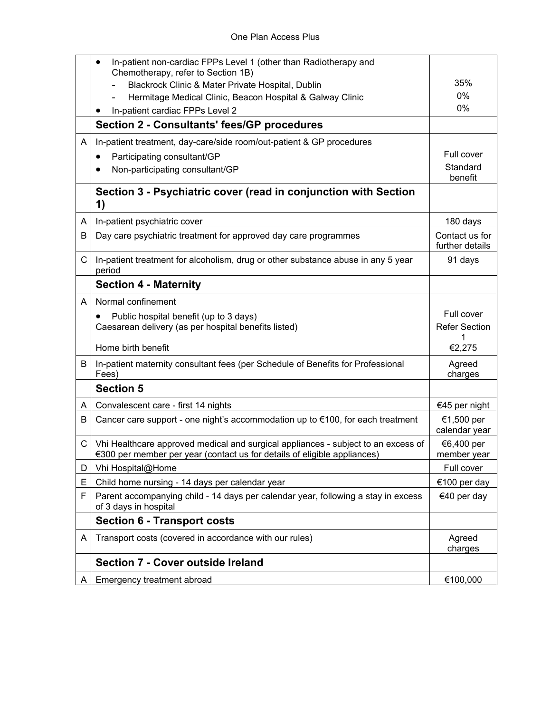|    | In-patient non-cardiac FPPs Level 1 (other than Radiotherapy and<br>٠<br>Chemotherapy, refer to Section 1B)                                                   |                                   |
|----|---------------------------------------------------------------------------------------------------------------------------------------------------------------|-----------------------------------|
|    | Blackrock Clinic & Mater Private Hospital, Dublin                                                                                                             | 35%                               |
|    | Hermitage Medical Clinic, Beacon Hospital & Galway Clinic                                                                                                     | 0%                                |
|    | In-patient cardiac FPPs Level 2<br>٠                                                                                                                          | 0%                                |
|    | Section 2 - Consultants' fees/GP procedures                                                                                                                   |                                   |
| A  | In-patient treatment, day-care/side room/out-patient & GP procedures                                                                                          |                                   |
|    | Participating consultant/GP<br>٠                                                                                                                              | Full cover                        |
|    | Non-participating consultant/GP                                                                                                                               | Standard<br>benefit               |
|    | Section 3 - Psychiatric cover (read in conjunction with Section<br>1)                                                                                         |                                   |
| A  | In-patient psychiatric cover                                                                                                                                  | 180 days                          |
| B  | Day care psychiatric treatment for approved day care programmes                                                                                               | Contact us for<br>further details |
| C  | In-patient treatment for alcoholism, drug or other substance abuse in any 5 year<br>period                                                                    | 91 days                           |
|    | <b>Section 4 - Maternity</b>                                                                                                                                  |                                   |
| A  | Normal confinement                                                                                                                                            |                                   |
|    | Public hospital benefit (up to 3 days)<br>$\bullet$                                                                                                           | Full cover                        |
|    | Caesarean delivery (as per hospital benefits listed)                                                                                                          | <b>Refer Section</b><br>1         |
|    | Home birth benefit                                                                                                                                            | €2,275                            |
| B  | In-patient maternity consultant fees (per Schedule of Benefits for Professional<br>Fees)                                                                      | Agreed<br>charges                 |
|    | <b>Section 5</b>                                                                                                                                              |                                   |
| A  | Convalescent care - first 14 nights                                                                                                                           | €45 per night                     |
| B  | Cancer care support - one night's accommodation up to €100, for each treatment                                                                                | €1,500 per<br>calendar year       |
| C  | Vhi Healthcare approved medical and surgical appliances - subject to an excess of<br>€300 per member per year (contact us for details of eligible appliances) | €6,400 per<br>member year         |
| D  | Vhi Hospital@Home                                                                                                                                             | Full cover                        |
| Ε  | Child home nursing - 14 days per calendar year                                                                                                                | €100 per day                      |
| F  | Parent accompanying child - 14 days per calendar year, following a stay in excess<br>of 3 days in hospital                                                    | €40 per day                       |
|    | <b>Section 6 - Transport costs</b>                                                                                                                            |                                   |
| A  | Transport costs (covered in accordance with our rules)                                                                                                        | Agreed<br>charges                 |
|    | <b>Section 7 - Cover outside Ireland</b>                                                                                                                      |                                   |
| A. | Emergency treatment abroad                                                                                                                                    | €100,000                          |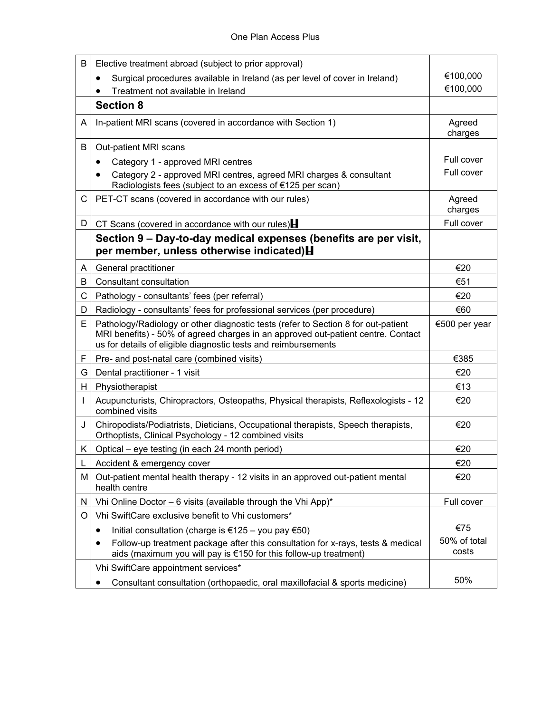| В  | Elective treatment abroad (subject to prior approval)                                                                                                                                                                                   |                       |
|----|-----------------------------------------------------------------------------------------------------------------------------------------------------------------------------------------------------------------------------------------|-----------------------|
|    | Surgical procedures available in Ireland (as per level of cover in Ireland)<br>٠                                                                                                                                                        | €100,000              |
|    | Treatment not available in Ireland                                                                                                                                                                                                      | €100,000              |
|    | <b>Section 8</b>                                                                                                                                                                                                                        |                       |
| A  | In-patient MRI scans (covered in accordance with Section 1)                                                                                                                                                                             | Agreed<br>charges     |
| В  | Out-patient MRI scans                                                                                                                                                                                                                   |                       |
|    | Category 1 - approved MRI centres<br>٠                                                                                                                                                                                                  | Full cover            |
|    | Category 2 - approved MRI centres, agreed MRI charges & consultant<br>Radiologists fees (subject to an excess of €125 per scan)                                                                                                         | Full cover            |
| C. | PET-CT scans (covered in accordance with our rules)                                                                                                                                                                                     | Agreed<br>charges     |
| D. | CT Scans (covered in accordance with our rules) $\blacksquare$                                                                                                                                                                          | Full cover            |
|    | Section 9 – Day-to-day medical expenses (benefits are per visit,<br>per member, unless otherwise indicated) H                                                                                                                           |                       |
| A  | General practitioner                                                                                                                                                                                                                    | €20                   |
| B  | Consultant consultation                                                                                                                                                                                                                 | €51                   |
| C. | Pathology - consultants' fees (per referral)                                                                                                                                                                                            | €20                   |
| D  | Radiology - consultants' fees for professional services (per procedure)                                                                                                                                                                 | €60                   |
| E. | Pathology/Radiology or other diagnostic tests (refer to Section 8 for out-patient<br>MRI benefits) - 50% of agreed charges in an approved out-patient centre. Contact<br>us for details of eligible diagnostic tests and reimbursements | €500 per year         |
| F  | Pre- and post-natal care (combined visits)                                                                                                                                                                                              | €385                  |
| G  | Dental practitioner - 1 visit                                                                                                                                                                                                           | €20                   |
| H  | Physiotherapist                                                                                                                                                                                                                         | €13                   |
|    | Acupuncturists, Chiropractors, Osteopaths, Physical therapists, Reflexologists - 12<br>combined visits                                                                                                                                  | €20                   |
| J  | Chiropodists/Podiatrists, Dieticians, Occupational therapists, Speech therapists,<br>Orthoptists, Clinical Psychology - 12 combined visits                                                                                              | €20                   |
| K. | Optical – eye testing (in each 24 month period)                                                                                                                                                                                         | €20                   |
| L  | Accident & emergency cover                                                                                                                                                                                                              | €20                   |
| м  | Out-patient mental health therapy - 12 visits in an approved out-patient mental<br>health centre                                                                                                                                        | €20                   |
| N  | Vhi Online Doctor - 6 visits (available through the Vhi App)*                                                                                                                                                                           | Full cover            |
| O  | Vhi SwiftCare exclusive benefit to Vhi customers*                                                                                                                                                                                       |                       |
|    | Initial consultation (charge is €125 – you pay €50)<br>٠                                                                                                                                                                                | €75                   |
|    | Follow-up treatment package after this consultation for x-rays, tests & medical<br>aids (maximum you will pay is €150 for this follow-up treatment)                                                                                     | 50% of total<br>costs |
|    | Vhi SwiftCare appointment services*                                                                                                                                                                                                     |                       |
|    | Consultant consultation (orthopaedic, oral maxillofacial & sports medicine)<br>$\bullet$                                                                                                                                                | 50%                   |